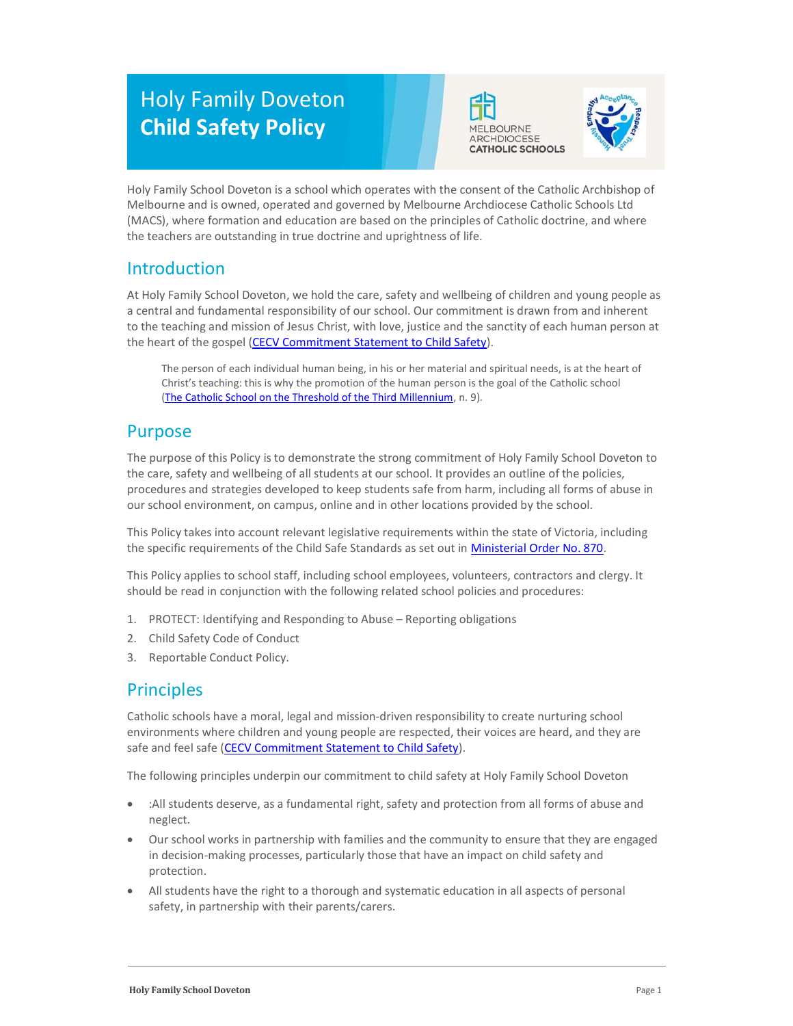# Holy Family Doveton Child Safety Policy





Holy Family School Doveton is a school which operates with the consent of the Catholic Archbishop of Melbourne and is owned, operated and governed by Melbourne Archdiocese Catholic Schools Ltd (MACS), where formation and education are based on the principles of Catholic doctrine, and where the teachers are outstanding in true doctrine and uprightness of life.

# Introduction

At Holy Family School Doveton, we hold the care, safety and wellbeing of children and young people as a central and fundamental responsibility of our school. Our commitment is drawn from and inherent to the teaching and mission of Jesus Christ, with love, justice and the sanctity of each human person at the heart of the gospel (CECV Commitment Statement to Child Safety).

The person of each individual human being, in his or her material and spiritual needs, is at the heart of Christ's teaching: this is why the promotion of the human person is the goal of the Catholic school (The Catholic School on the Threshold of the Third Millennium, n. 9).

# Purpose

The purpose of this Policy is to demonstrate the strong commitment of Holy Family School Doveton to the care, safety and wellbeing of all students at our school. It provides an outline of the policies, procedures and strategies developed to keep students safe from harm, including all forms of abuse in our school environment, on campus, online and in other locations provided by the school.

This Policy takes into account relevant legislative requirements within the state of Victoria, including the specific requirements of the Child Safe Standards as set out in Ministerial Order No. 870.

This Policy applies to school staff, including school employees, volunteers, contractors and clergy. It should be read in conjunction with the following related school policies and procedures:

- 1. PROTECT: Identifying and Responding to Abuse Reporting obligations
- 2. Child Safety Code of Conduct
- 3. Reportable Conduct Policy.

# **Principles**

Catholic schools have a moral, legal and mission-driven responsibility to create nurturing school environments where children and young people are respected, their voices are heard, and they are safe and feel safe (CECV Commitment Statement to Child Safety).

The following principles underpin our commitment to child safety at Holy Family School Doveton

- :All students deserve, as a fundamental right, safety and protection from all forms of abuse and neglect.
- Our school works in partnership with families and the community to ensure that they are engaged in decision-making processes, particularly those that have an impact on child safety and protection.
- All students have the right to a thorough and systematic education in all aspects of personal safety, in partnership with their parents/carers.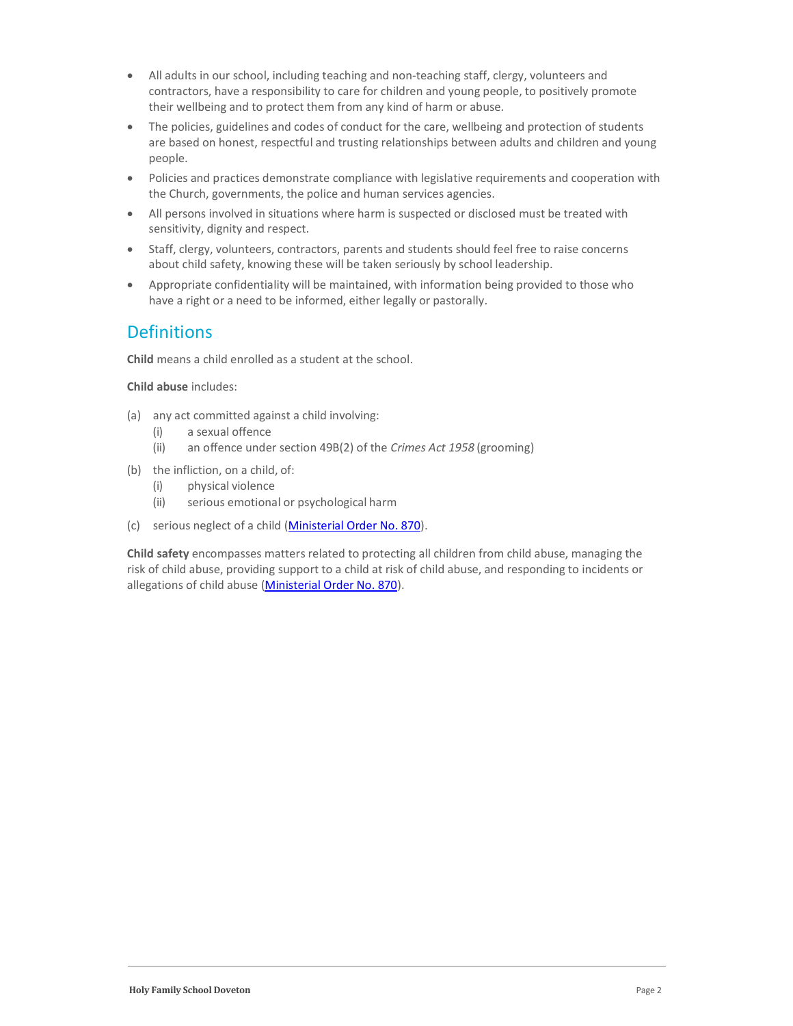- All adults in our school, including teaching and non-teaching staff, clergy, volunteers and contractors, have a responsibility to care for children and young people, to positively promote their wellbeing and to protect them from any kind of harm or abuse.
- The policies, guidelines and codes of conduct for the care, wellbeing and protection of students are based on honest, respectful and trusting relationships between adults and children and young people.
- Policies and practices demonstrate compliance with legislative requirements and cooperation with the Church, governments, the police and human services agencies.
- All persons involved in situations where harm is suspected or disclosed must be treated with sensitivity, dignity and respect.
- Staff, clergy, volunteers, contractors, parents and students should feel free to raise concerns about child safety, knowing these will be taken seriously by school leadership.
- Appropriate confidentiality will be maintained, with information being provided to those who have a right or a need to be informed, either legally or pastorally.

# **Definitions**

Child means a child enrolled as a student at the school.

Child abuse includes:

- (a) any act committed against a child involving:
	- (i) a sexual offence
	- (ii) an offence under section 49B(2) of the Crimes Act 1958 (grooming)
- (b) the infliction, on a child, of:
	- (i) physical violence
	- (ii) serious emotional or psychological harm
- (c) serious neglect of a child (Ministerial Order No. 870).

Child safety encompasses matters related to protecting all children from child abuse, managing the risk of child abuse, providing support to a child at risk of child abuse, and responding to incidents or allegations of child abuse (Ministerial Order No. 870).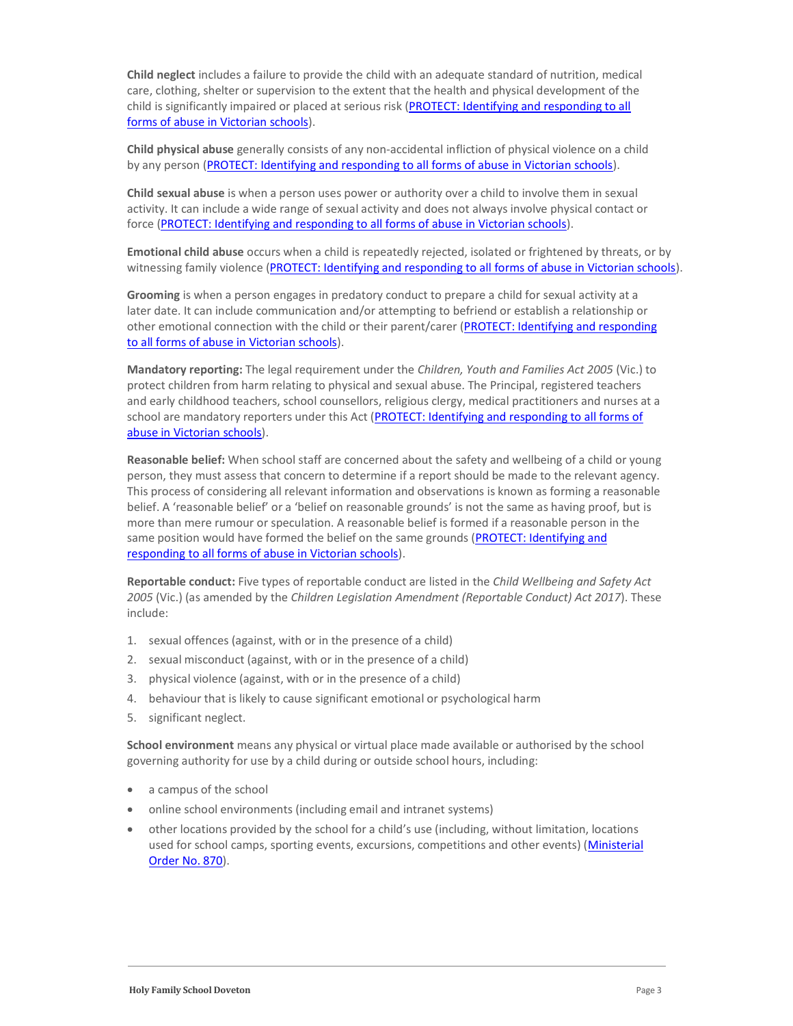Child neglect includes a failure to provide the child with an adequate standard of nutrition, medical care, clothing, shelter or supervision to the extent that the health and physical development of the child is significantly impaired or placed at serious risk (PROTECT: Identifying and responding to all forms of abuse in Victorian schools).

Child physical abuse generally consists of any non-accidental infliction of physical violence on a child by any person (PROTECT: Identifying and responding to all forms of abuse in Victorian schools).

Child sexual abuse is when a person uses power or authority over a child to involve them in sexual activity. It can include a wide range of sexual activity and does not always involve physical contact or force (PROTECT: Identifying and responding to all forms of abuse in Victorian schools).

Emotional child abuse occurs when a child is repeatedly rejected, isolated or frightened by threats, or by witnessing family violence (PROTECT: Identifying and responding to all forms of abuse in Victorian schools).

Grooming is when a person engages in predatory conduct to prepare a child for sexual activity at a later date. It can include communication and/or attempting to befriend or establish a relationship or other emotional connection with the child or their parent/carer (PROTECT: Identifying and responding to all forms of abuse in Victorian schools).

Mandatory reporting: The legal requirement under the Children, Youth and Families Act 2005 (Vic.) to protect children from harm relating to physical and sexual abuse. The Principal, registered teachers and early childhood teachers, school counsellors, religious clergy, medical practitioners and nurses at a school are mandatory reporters under this Act (PROTECT: Identifying and responding to all forms of abuse in Victorian schools).

Reasonable belief: When school staff are concerned about the safety and wellbeing of a child or young person, they must assess that concern to determine if a report should be made to the relevant agency. This process of considering all relevant information and observations is known as forming a reasonable belief. A 'reasonable belief' or a 'belief on reasonable grounds' is not the same as having proof, but is more than mere rumour or speculation. A reasonable belief is formed if a reasonable person in the same position would have formed the belief on the same grounds (PROTECT: Identifying and responding to all forms of abuse in Victorian schools).

Reportable conduct: Five types of reportable conduct are listed in the Child Wellbeing and Safety Act 2005 (Vic.) (as amended by the Children Legislation Amendment (Reportable Conduct) Act 2017). These include:

- 1. sexual offences (against, with or in the presence of a child)
- 2. sexual misconduct (against, with or in the presence of a child)
- 3. physical violence (against, with or in the presence of a child)
- 4. behaviour that is likely to cause significant emotional or psychological harm
- 5. significant neglect.

School environment means any physical or virtual place made available or authorised by the school governing authority for use by a child during or outside school hours, including:

- a campus of the school
- online school environments (including email and intranet systems)
- other locations provided by the school for a child's use (including, without limitation, locations used for school camps, sporting events, excursions, competitions and other events) (Ministerial Order No. 870).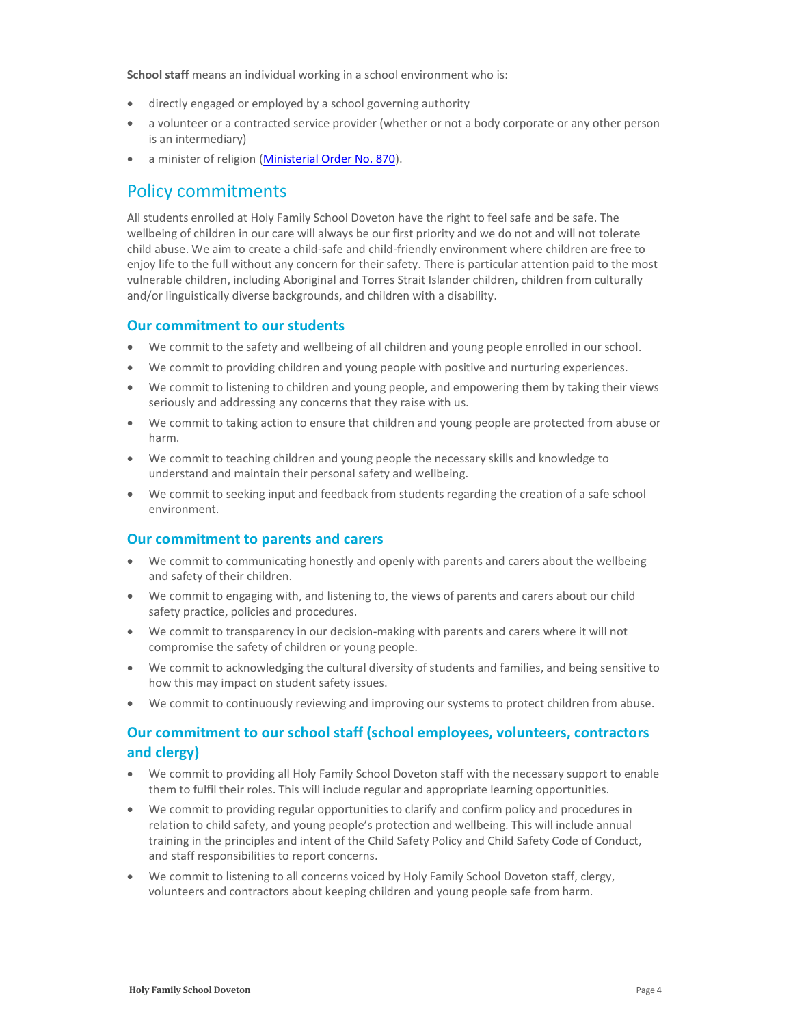School staff means an individual working in a school environment who is:

- directly engaged or employed by a school governing authority
- a volunteer or a contracted service provider (whether or not a body corporate or any other person is an intermediary)
- a minister of religion (Ministerial Order No. 870).

### Policy commitments

All students enrolled at Holy Family School Doveton have the right to feel safe and be safe. The wellbeing of children in our care will always be our first priority and we do not and will not tolerate child abuse. We aim to create a child-safe and child-friendly environment where children are free to enjoy life to the full without any concern for their safety. There is particular attention paid to the most vulnerable children, including Aboriginal and Torres Strait Islander children, children from culturally and/or linguistically diverse backgrounds, and children with a disability.

#### Our commitment to our students

- We commit to the safety and wellbeing of all children and young people enrolled in our school.
- We commit to providing children and young people with positive and nurturing experiences.
- We commit to listening to children and young people, and empowering them by taking their views seriously and addressing any concerns that they raise with us.
- We commit to taking action to ensure that children and young people are protected from abuse or harm.
- We commit to teaching children and young people the necessary skills and knowledge to understand and maintain their personal safety and wellbeing.
- We commit to seeking input and feedback from students regarding the creation of a safe school environment.

#### Our commitment to parents and carers

- We commit to communicating honestly and openly with parents and carers about the wellbeing and safety of their children.
- We commit to engaging with, and listening to, the views of parents and carers about our child safety practice, policies and procedures.
- We commit to transparency in our decision-making with parents and carers where it will not compromise the safety of children or young people.
- We commit to acknowledging the cultural diversity of students and families, and being sensitive to how this may impact on student safety issues.
- We commit to continuously reviewing and improving our systems to protect children from abuse.

#### Our commitment to our school staff (school employees, volunteers, contractors and clergy)

- We commit to providing all Holy Family School Doveton staff with the necessary support to enable them to fulfil their roles. This will include regular and appropriate learning opportunities.
- We commit to providing regular opportunities to clarify and confirm policy and procedures in relation to child safety, and young people's protection and wellbeing. This will include annual training in the principles and intent of the Child Safety Policy and Child Safety Code of Conduct, and staff responsibilities to report concerns.
- We commit to listening to all concerns voiced by Holy Family School Doveton staff, clergy, volunteers and contractors about keeping children and young people safe from harm.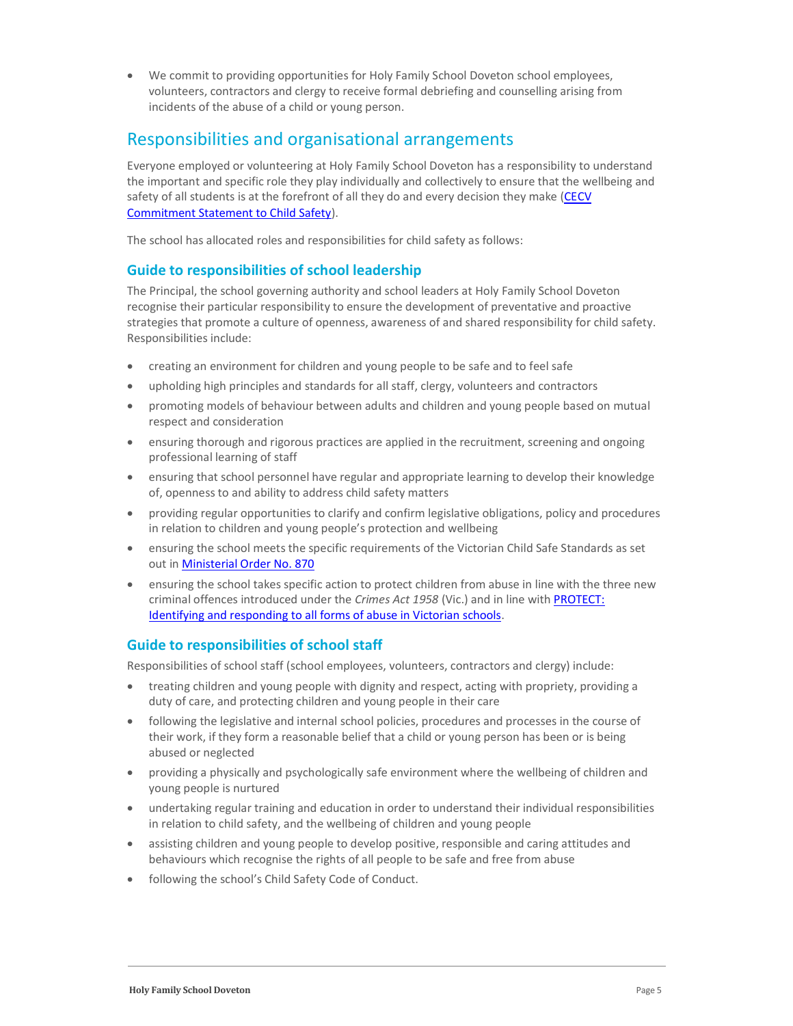We commit to providing opportunities for Holy Family School Doveton school employees, volunteers, contractors and clergy to receive formal debriefing and counselling arising from incidents of the abuse of a child or young person.

### Responsibilities and organisational arrangements

Everyone employed or volunteering at Holy Family School Doveton has a responsibility to understand the important and specific role they play individually and collectively to ensure that the wellbeing and safety of all students is at the forefront of all they do and every decision they make (CECV Commitment Statement to Child Safety).

The school has allocated roles and responsibilities for child safety as follows:

#### Guide to responsibilities of school leadership

The Principal, the school governing authority and school leaders at Holy Family School Doveton recognise their particular responsibility to ensure the development of preventative and proactive strategies that promote a culture of openness, awareness of and shared responsibility for child safety. Responsibilities include:

- creating an environment for children and young people to be safe and to feel safe
- upholding high principles and standards for all staff, clergy, volunteers and contractors
- promoting models of behaviour between adults and children and young people based on mutual respect and consideration
- ensuring thorough and rigorous practices are applied in the recruitment, screening and ongoing professional learning of staff
- ensuring that school personnel have regular and appropriate learning to develop their knowledge of, openness to and ability to address child safety matters
- providing regular opportunities to clarify and confirm legislative obligations, policy and procedures in relation to children and young people's protection and wellbeing
- ensuring the school meets the specific requirements of the Victorian Child Safe Standards as set out in Ministerial Order No. 870
- ensuring the school takes specific action to protect children from abuse in line with the three new criminal offences introduced under the Crimes Act 1958 (Vic.) and in line with PROTECT: Identifying and responding to all forms of abuse in Victorian schools.

#### Guide to responsibilities of school staff

Responsibilities of school staff (school employees, volunteers, contractors and clergy) include:

- treating children and young people with dignity and respect, acting with propriety, providing a duty of care, and protecting children and young people in their care
- following the legislative and internal school policies, procedures and processes in the course of their work, if they form a reasonable belief that a child or young person has been or is being abused or neglected
- providing a physically and psychologically safe environment where the wellbeing of children and young people is nurtured
- undertaking regular training and education in order to understand their individual responsibilities in relation to child safety, and the wellbeing of children and young people
- assisting children and young people to develop positive, responsible and caring attitudes and behaviours which recognise the rights of all people to be safe and free from abuse
- following the school's Child Safety Code of Conduct.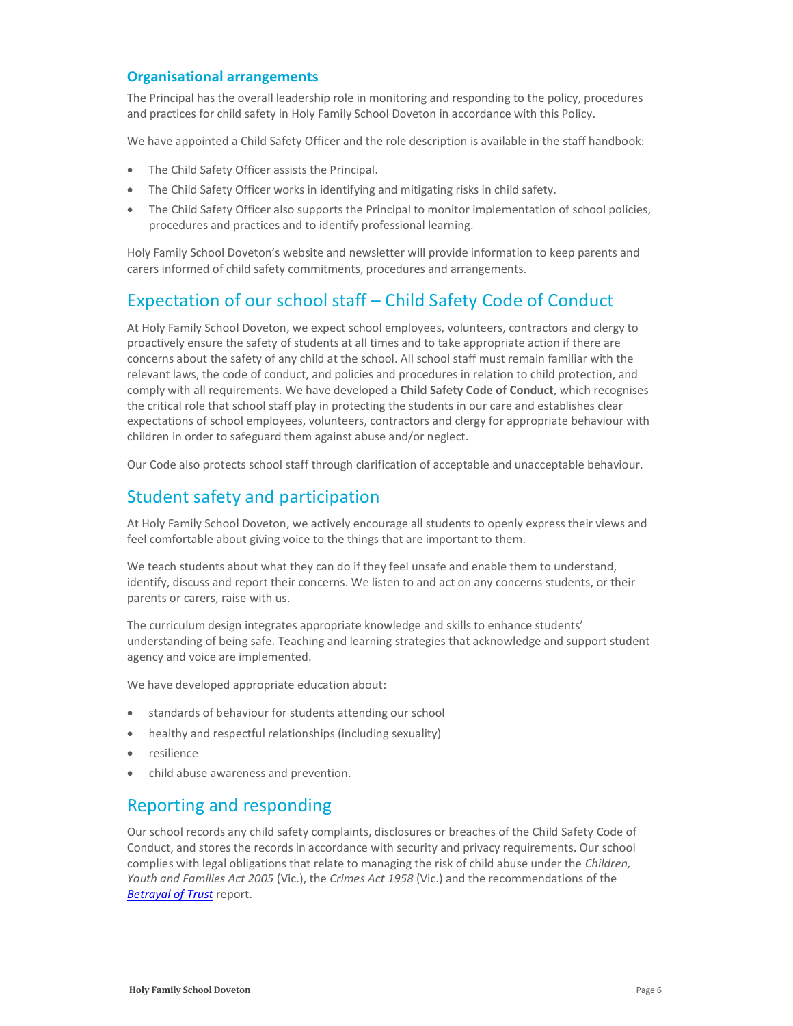#### Organisational arrangements

The Principal has the overall leadership role in monitoring and responding to the policy, procedures and practices for child safety in Holy Family School Doveton in accordance with this Policy.

We have appointed a Child Safety Officer and the role description is available in the staff handbook:

- The Child Safety Officer assists the Principal.
- The Child Safety Officer works in identifying and mitigating risks in child safety.
- The Child Safety Officer also supports the Principal to monitor implementation of school policies, procedures and practices and to identify professional learning.

Holy Family School Doveton's website and newsletter will provide information to keep parents and carers informed of child safety commitments, procedures and arrangements.

# Expectation of our school staff – Child Safety Code of Conduct

At Holy Family School Doveton, we expect school employees, volunteers, contractors and clergy to proactively ensure the safety of students at all times and to take appropriate action if there are concerns about the safety of any child at the school. All school staff must remain familiar with the relevant laws, the code of conduct, and policies and procedures in relation to child protection, and comply with all requirements. We have developed a Child Safety Code of Conduct, which recognises the critical role that school staff play in protecting the students in our care and establishes clear expectations of school employees, volunteers, contractors and clergy for appropriate behaviour with children in order to safeguard them against abuse and/or neglect.

Our Code also protects school staff through clarification of acceptable and unacceptable behaviour.

# Student safety and participation

At Holy Family School Doveton, we actively encourage all students to openly express their views and feel comfortable about giving voice to the things that are important to them.

We teach students about what they can do if they feel unsafe and enable them to understand, identify, discuss and report their concerns. We listen to and act on any concerns students, or their parents or carers, raise with us.

The curriculum design integrates appropriate knowledge and skills to enhance students' understanding of being safe. Teaching and learning strategies that acknowledge and support student agency and voice are implemented.

We have developed appropriate education about:

- standards of behaviour for students attending our school
- healthy and respectful relationships (including sexuality)
- resilience
- child abuse awareness and prevention.

### Reporting and responding

Our school records any child safety complaints, disclosures or breaches of the Child Safety Code of Conduct, and stores the records in accordance with security and privacy requirements. Our school complies with legal obligations that relate to managing the risk of child abuse under the Children, Youth and Families Act 2005 (Vic.), the Crimes Act 1958 (Vic.) and the recommendations of the Betrayal of Trust report.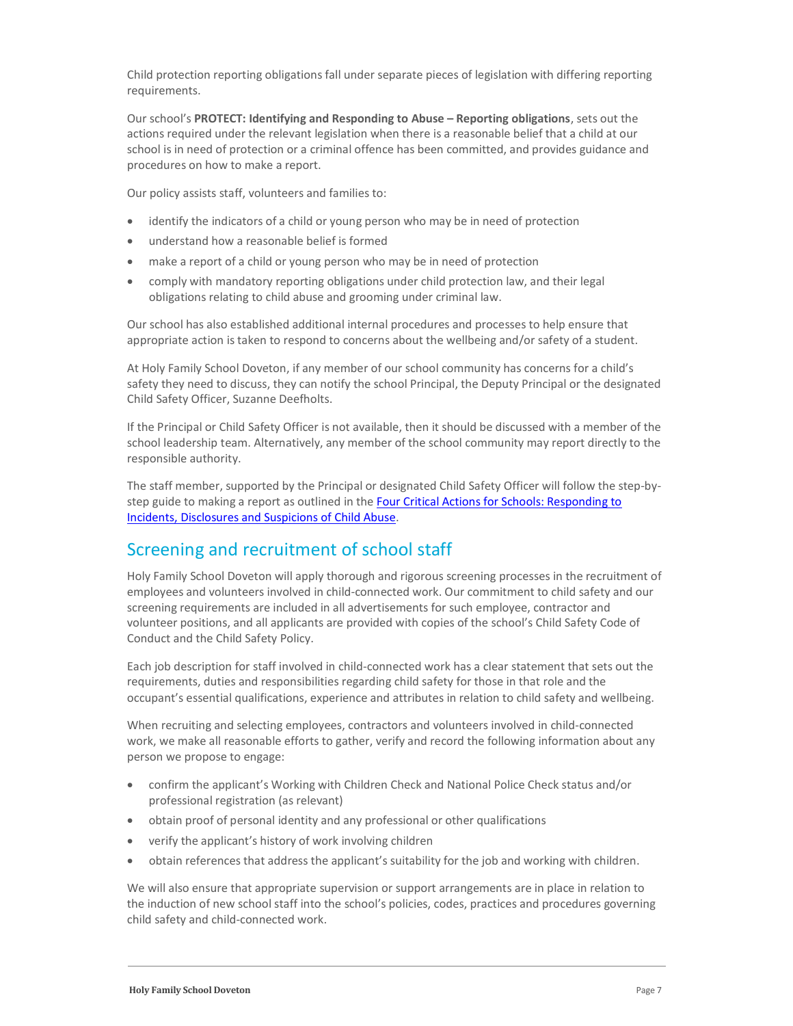Child protection reporting obligations fall under separate pieces of legislation with differing reporting requirements.

Our school's PROTECT: Identifying and Responding to Abuse – Reporting obligations, sets out the actions required under the relevant legislation when there is a reasonable belief that a child at our school is in need of protection or a criminal offence has been committed, and provides guidance and procedures on how to make a report.

Our policy assists staff, volunteers and families to:

- identify the indicators of a child or young person who may be in need of protection
- understand how a reasonable belief is formed
- make a report of a child or young person who may be in need of protection
- comply with mandatory reporting obligations under child protection law, and their legal obligations relating to child abuse and grooming under criminal law.

Our school has also established additional internal procedures and processes to help ensure that appropriate action is taken to respond to concerns about the wellbeing and/or safety of a student.

At Holy Family School Doveton, if any member of our school community has concerns for a child's safety they need to discuss, they can notify the school Principal, the Deputy Principal or the designated Child Safety Officer, Suzanne Deefholts.

If the Principal or Child Safety Officer is not available, then it should be discussed with a member of the school leadership team. Alternatively, any member of the school community may report directly to the responsible authority.

The staff member, supported by the Principal or designated Child Safety Officer will follow the step-bystep guide to making a report as outlined in the Four Critical Actions for Schools: Responding to Incidents, Disclosures and Suspicions of Child Abuse.

### Screening and recruitment of school staff

Holy Family School Doveton will apply thorough and rigorous screening processes in the recruitment of employees and volunteers involved in child-connected work. Our commitment to child safety and our screening requirements are included in all advertisements for such employee, contractor and volunteer positions, and all applicants are provided with copies of the school's Child Safety Code of Conduct and the Child Safety Policy.

Each job description for staff involved in child-connected work has a clear statement that sets out the requirements, duties and responsibilities regarding child safety for those in that role and the occupant's essential qualifications, experience and attributes in relation to child safety and wellbeing.

When recruiting and selecting employees, contractors and volunteers involved in child-connected work, we make all reasonable efforts to gather, verify and record the following information about any person we propose to engage:

- confirm the applicant's Working with Children Check and National Police Check status and/or professional registration (as relevant)
- obtain proof of personal identity and any professional or other qualifications
- verify the applicant's history of work involving children
- obtain references that address the applicant's suitability for the job and working with children.

We will also ensure that appropriate supervision or support arrangements are in place in relation to the induction of new school staff into the school's policies, codes, practices and procedures governing child safety and child-connected work.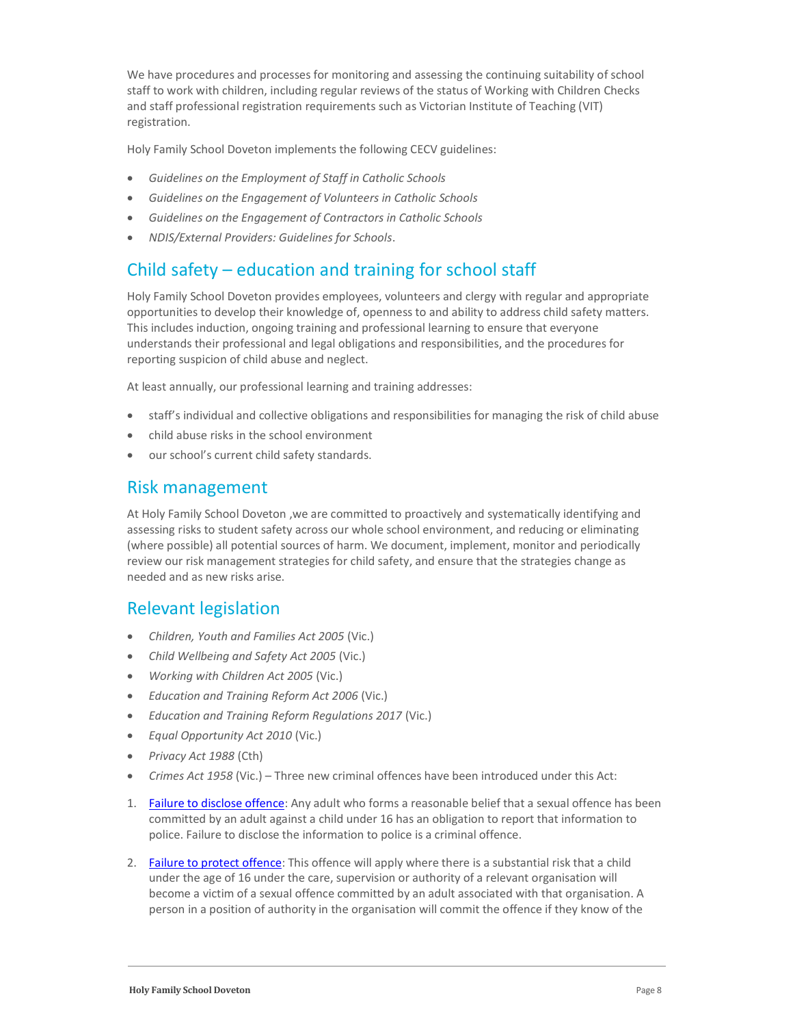We have procedures and processes for monitoring and assessing the continuing suitability of school staff to work with children, including regular reviews of the status of Working with Children Checks and staff professional registration requirements such as Victorian Institute of Teaching (VIT) registration.

Holy Family School Doveton implements the following CECV guidelines:

- Guidelines on the Employment of Staff in Catholic Schools
- Guidelines on the Engagement of Volunteers in Catholic Schools
- Guidelines on the Engagement of Contractors in Catholic Schools
- NDIS/External Providers: Guidelines for Schools.

### Child safety – education and training for school staff

Holy Family School Doveton provides employees, volunteers and clergy with regular and appropriate opportunities to develop their knowledge of, openness to and ability to address child safety matters. This includes induction, ongoing training and professional learning to ensure that everyone understands their professional and legal obligations and responsibilities, and the procedures for reporting suspicion of child abuse and neglect.

At least annually, our professional learning and training addresses:

- staff's individual and collective obligations and responsibilities for managing the risk of child abuse
- child abuse risks in the school environment
- our school's current child safety standards.

#### Risk management

At Holy Family School Doveton ,we are committed to proactively and systematically identifying and assessing risks to student safety across our whole school environment, and reducing or eliminating (where possible) all potential sources of harm. We document, implement, monitor and periodically review our risk management strategies for child safety, and ensure that the strategies change as needed and as new risks arise.

### Relevant legislation

- Children, Youth and Families Act 2005 (Vic.)
- Child Wellbeing and Safety Act 2005 (Vic.)
- Working with Children Act 2005 (Vic.)
- Education and Training Reform Act 2006 (Vic.)
- Education and Training Reform Regulations 2017 (Vic.)
- Equal Opportunity Act 2010 (Vic.)
- Privacy Act 1988 (Cth)
- Crimes Act 1958 (Vic.) Three new criminal offences have been introduced under this Act:
- 1. Failure to disclose offence: Any adult who forms a reasonable belief that a sexual offence has been committed by an adult against a child under 16 has an obligation to report that information to police. Failure to disclose the information to police is a criminal offence.
- 2. Failure to protect offence: This offence will apply where there is a substantial risk that a child under the age of 16 under the care, supervision or authority of a relevant organisation will become a victim of a sexual offence committed by an adult associated with that organisation. A person in a position of authority in the organisation will commit the offence if they know of the